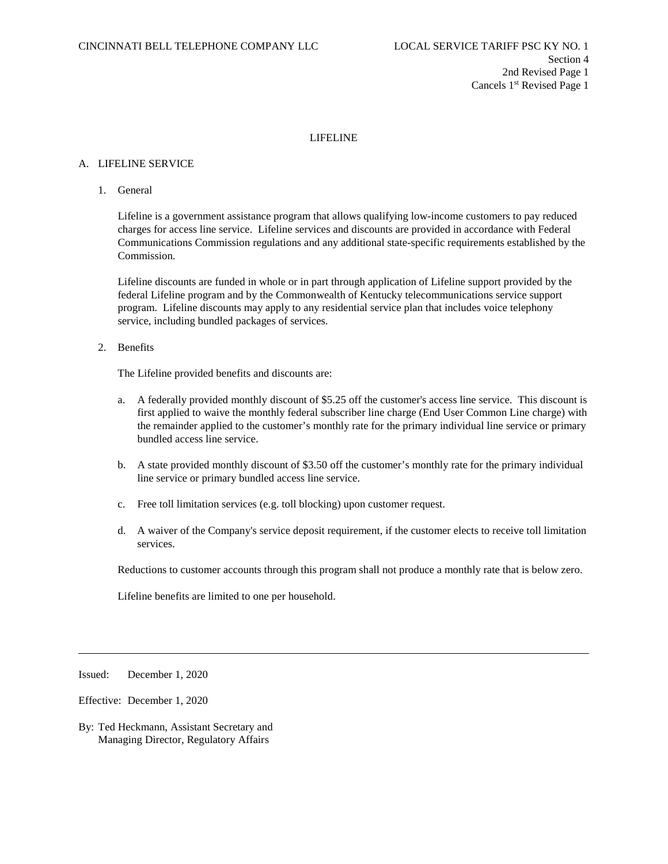# LIFELINE

#### A. LIFELINE SERVICE

1. General

Lifeline is a government assistance program that allows qualifying low-income customers to pay reduced charges for access line service. Lifeline services and discounts are provided in accordance with Federal Communications Commission regulations and any additional state-specific requirements established by the Commission.

Lifeline discounts are funded in whole or in part through application of Lifeline support provided by the federal Lifeline program and by the Commonwealth of Kentucky telecommunications service support program. Lifeline discounts may apply to any residential service plan that includes voice telephony service, including bundled packages of services.

2. Benefits

The Lifeline provided benefits and discounts are:

- a. A federally provided monthly discount of \$5.25 off the customer's access line service. This discount is first applied to waive the monthly federal subscriber line charge (End User Common Line charge) with the remainder applied to the customer's monthly rate for the primary individual line service or primary bundled access line service.
- b. A state provided monthly discount of \$3.50 off the customer's monthly rate for the primary individual line service or primary bundled access line service.
- c. Free toll limitation services (e.g. toll blocking) upon customer request.
- d. A waiver of the Company's service deposit requirement, if the customer elects to receive toll limitation services.

Reductions to customer accounts through this program shall not produce a monthly rate that is below zero.

Lifeline benefits are limited to one per household.

Issued: December 1, 2020

Effective: December 1, 2020

By: Ted Heckmann, Assistant Secretary and Managing Director, Regulatory Affairs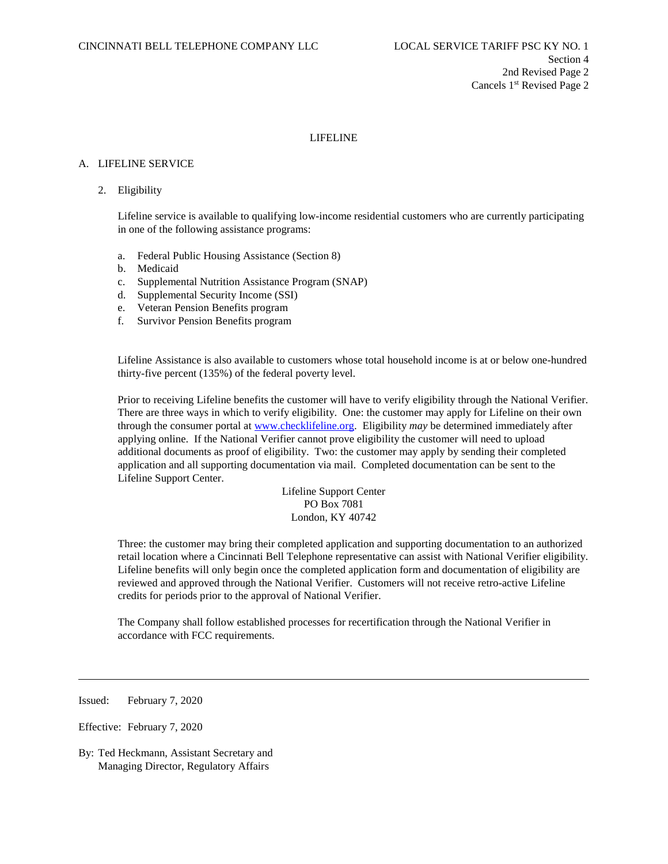# LIFELINE

## A. LIFELINE SERVICE

## 2. Eligibility

Lifeline service is available to qualifying low-income residential customers who are currently participating in one of the following assistance programs:

- a. Federal Public Housing Assistance (Section 8)
- b. Medicaid
- c. Supplemental Nutrition Assistance Program (SNAP)
- d. Supplemental Security Income (SSI)
- e. Veteran Pension Benefits program
- f. Survivor Pension Benefits program

Lifeline Assistance is also available to customers whose total household income is at or below one-hundred thirty-five percent (135%) of the federal poverty level.

Prior to receiving Lifeline benefits the customer will have to verify eligibility through the National Verifier. There are three ways in which to verify eligibility. One: the customer may apply for Lifeline on their own through the consumer portal at [www.checklifeline.org.](http://www.checklifeline.org/) Eligibility *may* be determined immediately after applying online. If the National Verifier cannot prove eligibility the customer will need to upload additional documents as proof of eligibility. Two: the customer may apply by sending their completed application and all supporting documentation via mail. Completed documentation can be sent to the Lifeline Support Center.

> Lifeline Support Center PO Box 7081 London, KY 40742

Three: the customer may bring their completed application and supporting documentation to an authorized retail location where a Cincinnati Bell Telephone representative can assist with National Verifier eligibility. Lifeline benefits will only begin once the completed application form and documentation of eligibility are reviewed and approved through the National Verifier. Customers will not receive retro-active Lifeline credits for periods prior to the approval of National Verifier.

The Company shall follow established processes for recertification through the National Verifier in accordance with FCC requirements.

Issued: February 7, 2020

l

Effective: February 7, 2020

By: Ted Heckmann, Assistant Secretary and Managing Director, Regulatory Affairs